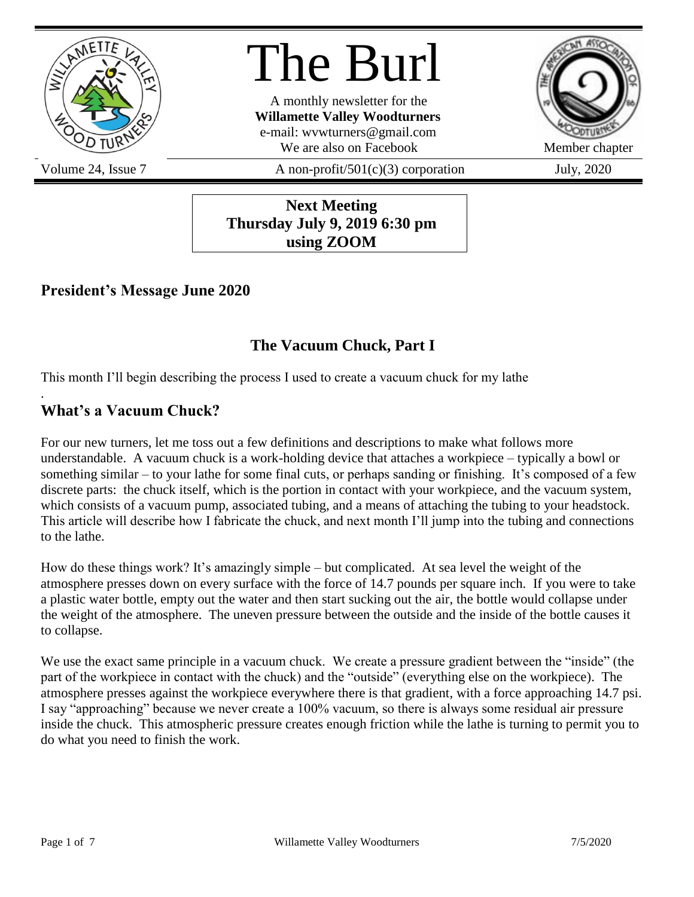

# The Burl

A monthly newsletter for the **Willamette Valley Woodturners** e-mail: wvwturners@gmail.com We are also on Facebook Member chapter



Volume 24, Issue 7  $A$  non-profit/501(c)(3) corporation July, 2020

**Next Meeting Thursday July 9, 2019 6:30 pm using ZOOM**

## **President's Message June 2020**

# **The Vacuum Chuck, Part I**

This month I'll begin describing the process I used to create a vacuum chuck for my lathe

# **What's a Vacuum Chuck?**

.

For our new turners, let me toss out a few definitions and descriptions to make what follows more understandable. A vacuum chuck is a work-holding device that attaches a workpiece – typically a bowl or something similar – to your lathe for some final cuts, or perhaps sanding or finishing. It's composed of a few discrete parts: the chuck itself, which is the portion in contact with your workpiece, and the vacuum system, which consists of a vacuum pump, associated tubing, and a means of attaching the tubing to your headstock. This article will describe how I fabricate the chuck, and next month I'll jump into the tubing and connections to the lathe.

How do these things work? It's amazingly simple – but complicated. At sea level the weight of the atmosphere presses down on every surface with the force of 14.7 pounds per square inch. If you were to take a plastic water bottle, empty out the water and then start sucking out the air, the bottle would collapse under the weight of the atmosphere. The uneven pressure between the outside and the inside of the bottle causes it to collapse.

We use the exact same principle in a vacuum chuck. We create a pressure gradient between the "inside" (the part of the workpiece in contact with the chuck) and the "outside" (everything else on the workpiece). The atmosphere presses against the workpiece everywhere there is that gradient, with a force approaching 14.7 psi. I say "approaching" because we never create a 100% vacuum, so there is always some residual air pressure inside the chuck. This atmospheric pressure creates enough friction while the lathe is turning to permit you to do what you need to finish the work.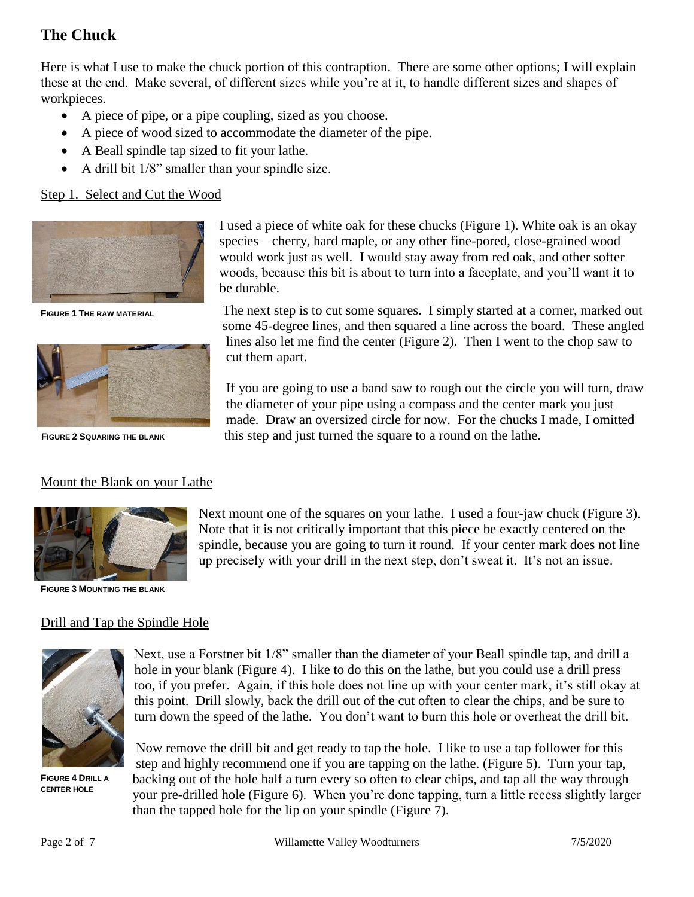### **The Chuck**

Here is what I use to make the chuck portion of this contraption. There are some other options; I will explain these at the end. Make several, of different sizes while you're at it, to handle different sizes and shapes of workpieces.

- A piece of pipe, or a pipe coupling, sized as you choose.
- A piece of wood sized to accommodate the diameter of the pipe.
- A Beall spindle tap sized to fit your lathe.
- A drill bit 1/8" smaller than your spindle size.

#### Step 1. Select and Cut the Wood



**FIGURE 1 THE RAW MATERIAL**



**FIGURE 2 SQUARING THE BLANK**

#### Mount the Blank on your Lathe



**FIGURE 3 MOUNTING THE BLANK**

#### Drill and Tap the Spindle Hole



**FIGURE 4 DRILL A CENTER HOLE**

Next, use a Forstner bit 1/8" smaller than the diameter of your Beall spindle tap, and drill a hole in your blank (Figure 4). I like to do this on the lathe, but you could use a drill press too, if you prefer. Again, if this hole does not line up with your center mark, it's still okay at this point. Drill slowly, back the drill out of the cut often to clear the chips, and be sure to turn down the speed of the lathe. You don't want to burn this hole or overheat the drill bit.

Now remove the drill bit and get ready to tap the hole. I like to use a tap follower for this step and highly recommend one if you are tapping on the lathe. (Figure 5). Turn your tap, backing out of the hole half a turn every so often to clear chips, and tap all the way through your pre-drilled hole (Figure 6). When you're done tapping, turn a little recess slightly larger than the tapped hole for the lip on your spindle (Figure 7).

I used a piece of white oak for these chucks (Figure 1). White oak is an okay species – cherry, hard maple, or any other fine-pored, close-grained wood would work just as well. I would stay away from red oak, and other softer woods, because this bit is about to turn into a faceplate, and you'll want it to be durable.

The next step is to cut some squares. I simply started at a corner, marked out some 45-degree lines, and then squared a line across the board. These angled lines also let me find the center (Figure 2). Then I went to the chop saw to cut them apart.

If you are going to use a band saw to rough out the circle you will turn, draw the diameter of your pipe using a compass and the center mark you just made. Draw an oversized circle for now. For the chucks I made, I omitted this step and just turned the square to a round on the lathe.

Next mount one of the squares on your lathe. I used a four-jaw chuck (Figure 3). Note that it is not critically important that this piece be exactly centered on the spindle, because you are going to turn it round. If your center mark does not line up precisely with your drill in the next step, don't sweat it. It's not an issue.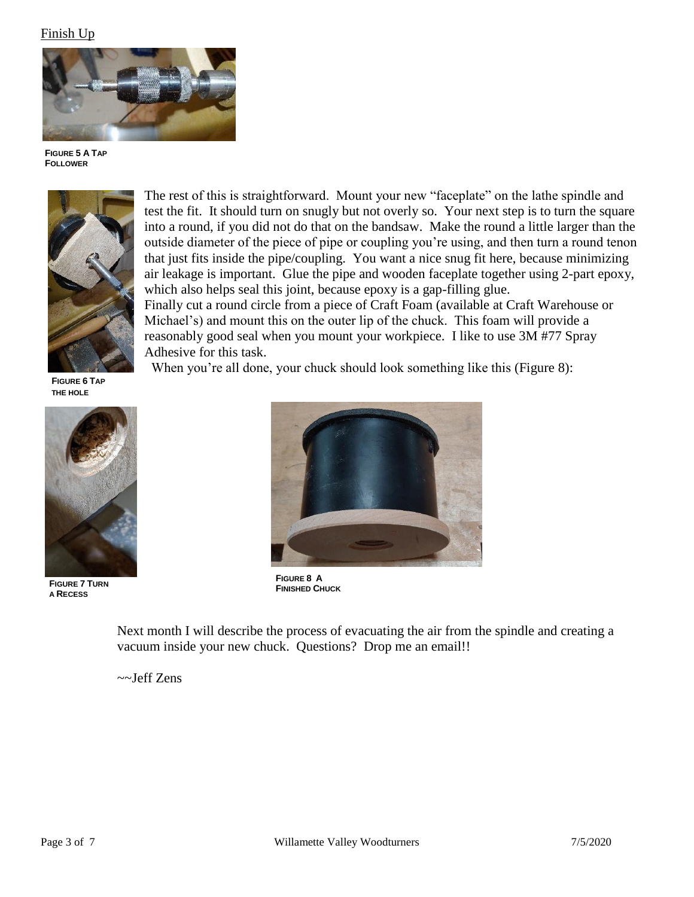#### Finish Up



**FIGURE 5 A TAP FOLLOWER**



The rest of this is straightforward. Mount your new "faceplate" on the lathe spindle and test the fit. It should turn on snugly but not overly so. Your next step is to turn the square into a round, if you did not do that on the bandsaw. Make the round a little larger than the outside diameter of the piece of pipe or coupling you're using, and then turn a round tenon that just fits inside the pipe/coupling. You want a nice snug fit here, because minimizing air leakage is important. Glue the pipe and wooden faceplate together using 2-part epoxy, which also helps seal this joint, because epoxy is a gap-filling glue. Finally cut a round circle from a piece of Craft Foam (available at Craft Warehouse or

Michael's) and mount this on the outer lip of the chuck. This foam will provide a reasonably good seal when you mount your workpiece. I like to use 3M #77 Spray Adhesive for this task.

When you're all done, your chuck should look something like this (Figure 8):

**FIGURE 6 TAP THE HOLE**



**FIGURE 7 TURN A RECESS**



**FIGURE 8 A FINISHED CHUCK**

Next month I will describe the process of evacuating the air from the spindle and creating a vacuum inside your new chuck. Questions? Drop me an email!!

~~Jeff Zens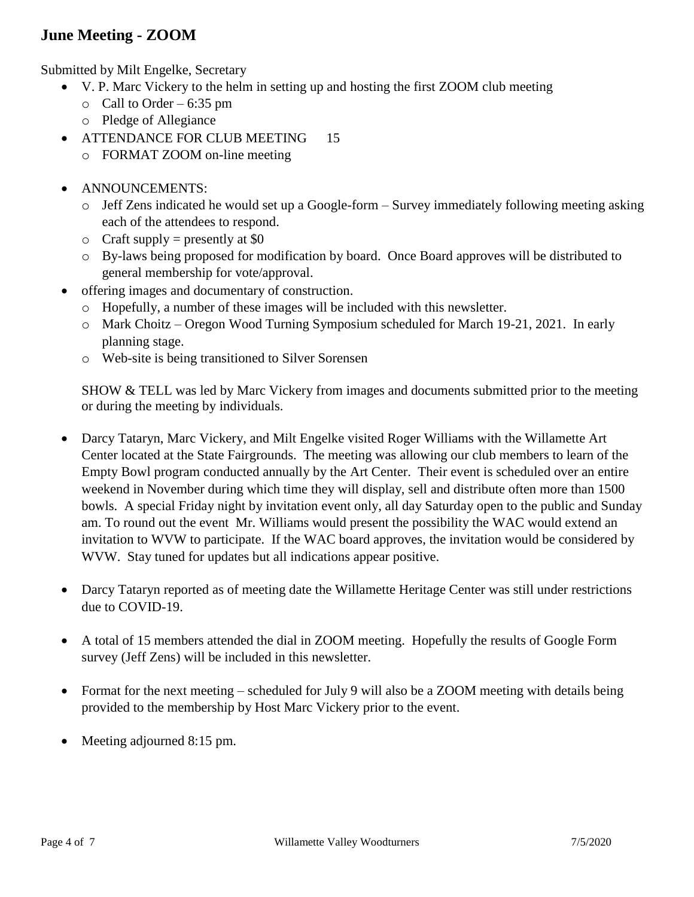## **June Meeting - ZOOM**

Submitted by Milt Engelke, Secretary

- V. P. Marc Vickery to the helm in setting up and hosting the first ZOOM club meeting
	- $\circ$  Call to Order 6:35 pm
	- o Pledge of Allegiance
- ATTENDANCE FOR CLUB MEETING 15
	- o FORMAT ZOOM on-line meeting
- ANNOUNCEMENTS:
	- o Jeff Zens indicated he would set up a Google-form Survey immediately following meeting asking each of the attendees to respond.
	- $\circ$  Craft supply = presently at \$0
	- o By-laws being proposed for modification by board. Once Board approves will be distributed to general membership for vote/approval.
- offering images and documentary of construction.
	- $\circ$  Hopefully, a number of these images will be included with this newsletter.
	- o Mark Choitz Oregon Wood Turning Symposium scheduled for March 19-21, 2021. In early planning stage.
	- o Web-site is being transitioned to Silver Sorensen

SHOW & TELL was led by Marc Vickery from images and documents submitted prior to the meeting or during the meeting by individuals.

- Darcy Tataryn, Marc Vickery, and Milt Engelke visited Roger Williams with the Willamette Art Center located at the State Fairgrounds. The meeting was allowing our club members to learn of the Empty Bowl program conducted annually by the Art Center. Their event is scheduled over an entire weekend in November during which time they will display, sell and distribute often more than 1500 bowls. A special Friday night by invitation event only, all day Saturday open to the public and Sunday am. To round out the event Mr. Williams would present the possibility the WAC would extend an invitation to WVW to participate. If the WAC board approves, the invitation would be considered by WVW. Stay tuned for updates but all indications appear positive.
- Darcy Tataryn reported as of meeting date the Willamette Heritage Center was still under restrictions due to COVID-19.
- A total of 15 members attended the dial in ZOOM meeting. Hopefully the results of Google Form survey (Jeff Zens) will be included in this newsletter.
- Format for the next meeting scheduled for July 9 will also be a ZOOM meeting with details being provided to the membership by Host Marc Vickery prior to the event.
- Meeting adjourned 8:15 pm.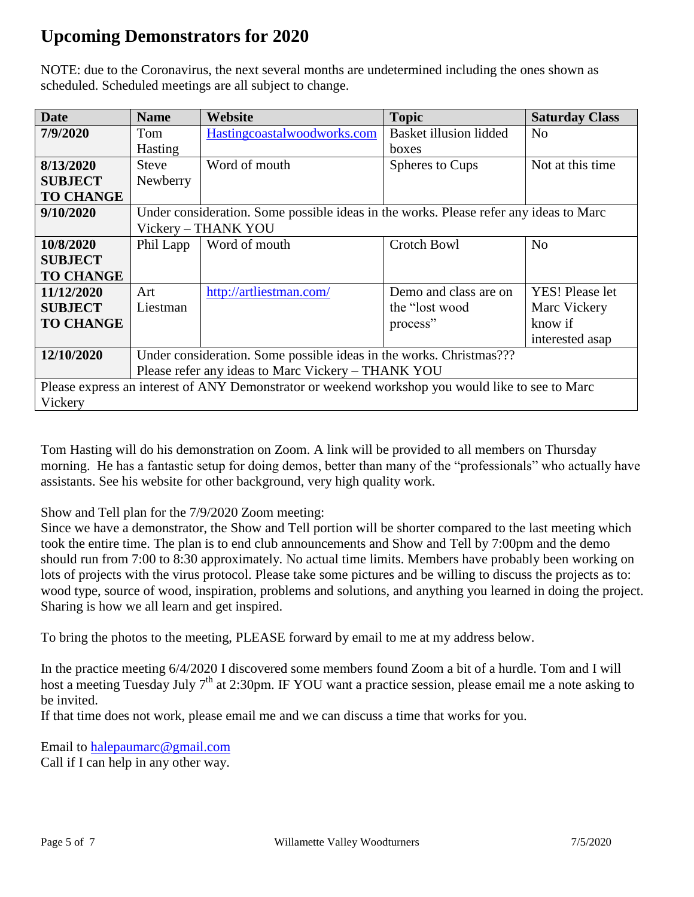# **Upcoming Demonstrators for 2020**

NOTE: due to the Coronavirus, the next several months are undetermined including the ones shown as scheduled. Scheduled meetings are all subject to change.

| <b>Date</b>                                                                                      | <b>Name</b>                                                                           | Website                     | <b>Topic</b>           | <b>Saturday Class</b>  |  |
|--------------------------------------------------------------------------------------------------|---------------------------------------------------------------------------------------|-----------------------------|------------------------|------------------------|--|
| 7/9/2020                                                                                         | Tom                                                                                   | Hastingcoastalwoodworks.com | Basket illusion lidded | N <sub>o</sub>         |  |
|                                                                                                  | <b>Hasting</b>                                                                        |                             | boxes                  |                        |  |
| 8/13/2020                                                                                        | <b>Steve</b>                                                                          | Word of mouth               | Spheres to Cups        | Not at this time       |  |
| <b>SUBJECT</b>                                                                                   | Newberry                                                                              |                             |                        |                        |  |
| <b>TO CHANGE</b>                                                                                 |                                                                                       |                             |                        |                        |  |
| 9/10/2020                                                                                        | Under consideration. Some possible ideas in the works. Please refer any ideas to Marc |                             |                        |                        |  |
|                                                                                                  | Vickery - THANK YOU                                                                   |                             |                        |                        |  |
| 10/8/2020                                                                                        | Phil Lapp                                                                             | Word of mouth               | Crotch Bowl            | N <sub>0</sub>         |  |
| <b>SUBJECT</b>                                                                                   |                                                                                       |                             |                        |                        |  |
| <b>TO CHANGE</b>                                                                                 |                                                                                       |                             |                        |                        |  |
| 11/12/2020                                                                                       | Art                                                                                   | http://artliestman.com/     | Demo and class are on  | <b>YES!</b> Please let |  |
| <b>SUBJECT</b>                                                                                   | Liestman                                                                              |                             | the "lost wood"        | Marc Vickery           |  |
| <b>TO CHANGE</b>                                                                                 |                                                                                       |                             | process"               | know if                |  |
|                                                                                                  |                                                                                       |                             |                        | interested asap        |  |
| 12/10/2020                                                                                       | Under consideration. Some possible ideas in the works. Christmas???                   |                             |                        |                        |  |
|                                                                                                  | Please refer any ideas to Marc Vickery – THANK YOU                                    |                             |                        |                        |  |
| Please express an interest of ANY Demonstrator or weekend workshop you would like to see to Marc |                                                                                       |                             |                        |                        |  |
| Vickery                                                                                          |                                                                                       |                             |                        |                        |  |

Tom Hasting will do his demonstration on Zoom. A link will be provided to all members on Thursday morning. He has a fantastic setup for doing demos, better than many of the "professionals" who actually have assistants. See his website for other background, very high quality work.

Show and Tell plan for the 7/9/2020 Zoom meeting:

Since we have a demonstrator, the Show and Tell portion will be shorter compared to the last meeting which took the entire time. The plan is to end club announcements and Show and Tell by 7:00pm and the demo should run from 7:00 to 8:30 approximately. No actual time limits. Members have probably been working on lots of projects with the virus protocol. Please take some pictures and be willing to discuss the projects as to: wood type, source of wood, inspiration, problems and solutions, and anything you learned in doing the project. Sharing is how we all learn and get inspired.

To bring the photos to the meeting, PLEASE forward by email to me at my address below.

In the practice meeting 6/4/2020 I discovered some members found Zoom a bit of a hurdle. Tom and I will host a meeting Tuesday July 7<sup>th</sup> at 2:30pm. IF YOU want a practice session, please email me a note asking to be invited.

If that time does not work, please email me and we can discuss a time that works for you.

Email to [halepaumarc@gmail.com](mailto:halepaumarc@gmail.com) Call if I can help in any other way.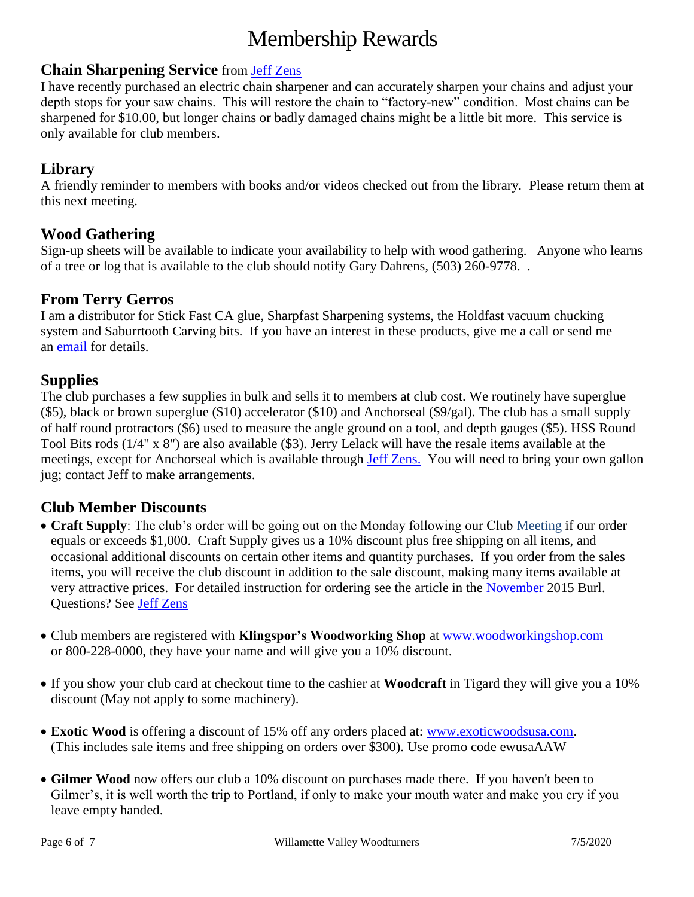# Membership Rewards

#### **Chain Sharpening Service** from [Jeff Zens](mailto:PrezWVW@gmail.com)

I have recently purchased an electric chain sharpener and can accurately sharpen your chains and adjust your depth stops for your saw chains. This will restore the chain to "factory-new" condition. Most chains can be sharpened for \$10.00, but longer chains or badly damaged chains might be a little bit more. This service is only available for club members.

#### **Library**

A friendly reminder to members with books and/or videos checked out from the library. Please return them at this next meeting.

#### **Wood Gathering**

Sign-up sheets will be available to indicate your availability to help with wood gathering. Anyone who learns of a tree or log that is available to the club should notify Gary Dahrens, (503) 260-9778. .

#### **From Terry Gerros**

I am a distributor for Stick Fast CA glue, Sharpfast Sharpening systems, the Holdfast vacuum chucking system and Saburrtooth Carving bits. If you have an interest in these products, give me a call or send me an [email](mailto:gerrost@yahoo.com) for details.

#### **Supplies**

The club purchases a few supplies in bulk and sells it to members at club cost. We routinely have superglue (\$5), black or brown superglue (\$10) accelerator (\$10) and Anchorseal (\$9/gal). The club has a small supply of half round protractors (\$6) used to measure the angle ground on a tool, and depth gauges (\$5). HSS Round Tool Bits rods (1/4" x 8") are also available (\$3). Jerry Lelack will have the resale items available at the meetings, except for Anchorseal which is available through [Jeff Zens.](mailto:PrezWVW@gmail.com) You will need to bring your own gallon jug; contact Jeff to make arrangements.

#### **Club Member Discounts**

- **Craft Supply**: The club's order will be going out on the Monday following our Club Meeting if our order equals or exceeds \$1,000. Craft Supply gives us a 10% discount plus free shipping on all items, and occasional additional discounts on certain other items and quantity purchases. If you order from the sales items, you will receive the club discount in addition to the sale discount, making many items available at very attractive prices. For detailed instruction for ordering see the article in the [November](http://www.willamettevalleywoodturners.com/newsletters/2015_11_WVW_Newsletter.pdf) 2015 Burl. Questions? See [Jeff Zens](mailto:PrezWVW@gmail.com)
- Club members are registered with **Klingspor's Woodworking Shop** at [www.woodworkingshop.com](http://www.woodworkingshop.com/)  or 800-228-0000, they have your name and will give you a 10% discount.
- If you show your club card at checkout time to the cashier at **Woodcraft** in Tigard they will give you a 10% discount (May not apply to some machinery).
- **Exotic Wood** is offering a discount of 15% off any orders placed at: [www.exoticwoodsusa.com.](http://www.exoticwoodsusa.com/) (This includes sale items and free shipping on orders over \$300). Use promo code ewusaAAW
- **Gilmer Wood** now offers our club a 10% discount on purchases made there. If you haven't been to Gilmer's, it is well worth the trip to Portland, if only to make your mouth water and make you cry if you leave empty handed.